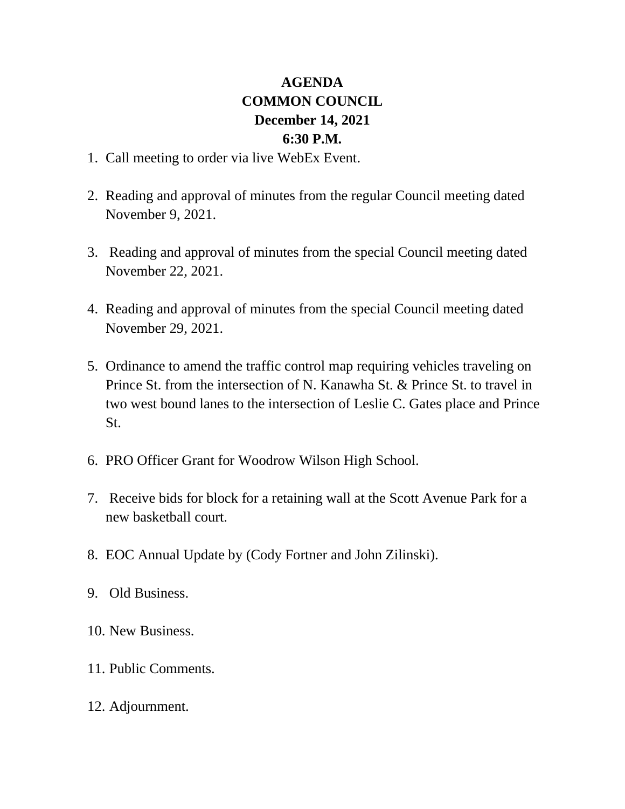## **AGENDA COMMON COUNCIL December 14, 2021 6:30 P.M.**

- 1. Call meeting to order via live WebEx Event.
- 2. Reading and approval of minutes from the regular Council meeting dated November 9, 2021.
- 3. Reading and approval of minutes from the special Council meeting dated November 22, 2021.
- 4. Reading and approval of minutes from the special Council meeting dated November 29, 2021.
- 5. Ordinance to amend the traffic control map requiring vehicles traveling on Prince St. from the intersection of N. Kanawha St. & Prince St. to travel in two west bound lanes to the intersection of Leslie C. Gates place and Prince St.
- 6. PRO Officer Grant for Woodrow Wilson High School.
- 7. Receive bids for block for a retaining wall at the Scott Avenue Park for a new basketball court.
- 8. EOC Annual Update by (Cody Fortner and John Zilinski).
- 9. Old Business.
- 10. New Business.
- 11. Public Comments.
- 12. Adjournment.